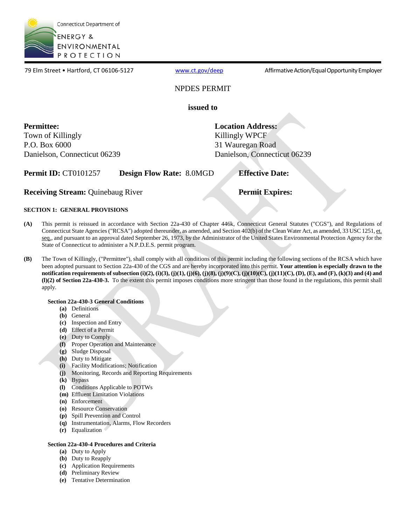

79 Elm Street • Hartford, CT 06106-5127 [www.ct.gov/deep](http://www.ct.gov/deep) Affirmative Action/Equal Opportunity Employer

### NPDES PERMIT

**issued to** 

 **Permittee:**  Town of Killingly P.O. Box 6000 Danielson, Connecticut 06239 **Location Address:**  Killingly WPCF 31 Wauregan Road Danielson, Connecticut 06239

**Permit ID: CT0101257 Design Flow Rate: 8.0MGD** 

**Receiving Stream: Quinebaug River** 

**Permit Expires:** 

**Effective Date:** 

### **SECTION 1: GENERAL PROVISIONS**

- This permit is reissued in accordance with Section 22a-430 of Chapter 446k, Connecticut General Statutes ("CGS"), and Regulations of Connecticut State Agencies ("RCSA") adopted thereunder, as amended, and Section 402(b) of the Clean Water Act, as amended, 33 USC 1251, et. **(A)** seq., and pursuant to an approval dated September 26, 1973, by the Administrator of the United States Environmental Protection Agency for the State of Connecticut to administer a N.P.D.E.S. permit program.
- **(l)(2) of Section 22a-430-3.** To the extent this permit imposes conditions more stringent than those found in the regulations, this permit shall **(B)** The Town of Killingly, ("Permittee"), shall comply with all conditions of this permit including the following sections of the RCSA which have been adopted pursuant to Section 22a-430 of the CGS and are hereby incorporated into this permit. **Your attention is especially drawn to the notification requirements of subsection (i)(2), (i)(3), (j)(1), (j)(6), (j)(8), (j)(9)(C), (j)(10)(C), (j)(11)(C), (D), (E), and (F), (k)(3) and (4) and** apply.

### **Section 22a-430-3 General Conditions**

- **(a)** Definitions
- **(b)** General
- **(c)** Inspection and Entry
- **(d)** Effect of a Permit
- **(e)** Duty to Comply
- **(f)** Proper Operation and Maintenance
- **(g)** Sludge Disposal
- **(h)** Duty to Mitigate
- **(i)** Facility Modifications; Notification
- **(j)** Monitoring, Records and Reporting Requirements
- Bypass
- **(k)** Bypass<br>**(l)** Conditions Applicable to POTWs
- **(m)**  Effluent Limitation Violations
- **(n)** Enforcement
- **(o)** Resource Conservation
- **(p)** Spill Prevention and Control
- **(q)** Instrumentation, Alarms, Flow Recorders
- **(r)** Equalization

### **Section 22a-430-4 Procedures and Criteria**

- **(a)** Duty to Apply
- **(b)** Duty to Reapply
- **(c)** Application Requirements
- **(d)** Preliminary Review
- **(e)** Tentative Determination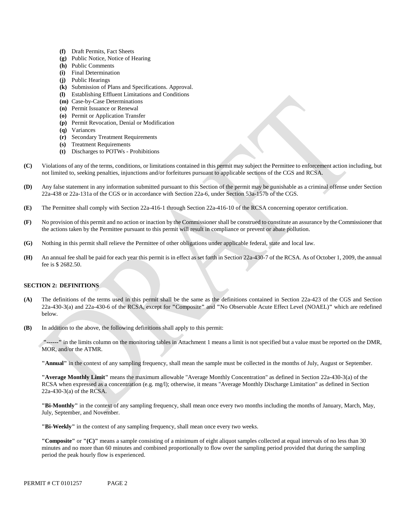- **(f)** Draft Permits, Fact Sheets
- **(g)** Public Notice, Notice of Hearing
- **(h)** Public Comments
- **(i)** Final Determination
- **(j)** Public Hearings
- **(k)** Submission of Plans and Specifications. Approval.
- **(l)** Establishing Effluent Limitations and Conditions
- **(m)** Case-by-Case Determinations
- **(n)** Permit Issuance or Renewal
- **(o)** Permit or Application Transfer
- **(p)** Permit Revocation, Denial or Modification
- **(q)** Variances
- **(r)** Secondary Treatment Requirements
- **(s)** Treatment Requirements
- **(t)** Discharges to POTWs Prohibitions
- Violations of any of the terms, conditions, or limitations contained in this permit may subject the Permittee to enforcement action including, but **(C)** not limited to, seeking penalties, injunctions and/or forfeitures pursuant to applicable sections of the CGS and RCSA.
- **(D)** Any false statement in any information submitted pursuant to this Section of the permit may be punishable as a criminal offense under Section 22a-438 or 22a-131a of the CGS or in accordance with Section 22a-6, under Section 53a-157b of the CGS.
- **(E)** The Permittee shall comply with Section 22a-416-1 through Section 22a-416-10 of the RCSA concerning operator certification.
- **(F)** No provision of this permit and no action or inaction by the Commissioner shall be construed to constitute an assurance by the Commissioner that the actions taken by the Permittee pursuant to this permit will result in compliance or prevent or abate pollution.
- **(G)** Nothing in this permit shall relieve the Permittee of other obligations under applicable federal, state and local law.
- fee is \$ 2682.50. **(H)** An annual fee shall be paid for each year this permit is in effect as set forth in Section 22a-430-7 of the RCSA. As of October 1, 2009, the annual

### **SECTION 2: DEFINITIONS**

- **(A)** The definitions of the terms used in this permit shall be the same as the definitions contained in Section 22a-423 of the CGS and Section 22a-430-3(a) and 22a-430-6 of the RCSA, except for **"**Composite**"** and **"**No Observable Acute Effect Level (NOAEL)**"** which are redefined below.
- **(B)** In addition to the above, the following definitions shall apply to this permit:

 **"------"** in the limits column on the monitoring tables in Attachment 1 means a limit is not specified but a value must be reported on the DMR, MOR, and/or the ATMR.

**"Annual"** in the context of any sampling frequency, shall mean the sample must be collected in the months of July, August or September.

**"Average Monthly Limit"** means the maximum allowable "Average Monthly Concentration" as defined in Section 22a-430-3(a) of the RCSA when expressed as a concentration (e.g. mg/l); otherwise, it means "Average Monthly Discharge Limitation" as defined in Section 22a-430-3(a) of the RCSA.

**"Bi-Monthly"** in the context of any sampling frequency, shall mean once every two months including the months of January, March, May, July, September, and November.

**"Bi-Weekly"** in the context of any sampling frequency, shall mean once every two weeks.

**"Composite"** or **"(C)"** means a sample consisting of a minimum of eight aliquot samples collected at equal intervals of no less than 30 minutes and no more than 60 minutes and combined proportionally to flow over the sampling period provided that during the sampling period the peak hourly flow is experienced.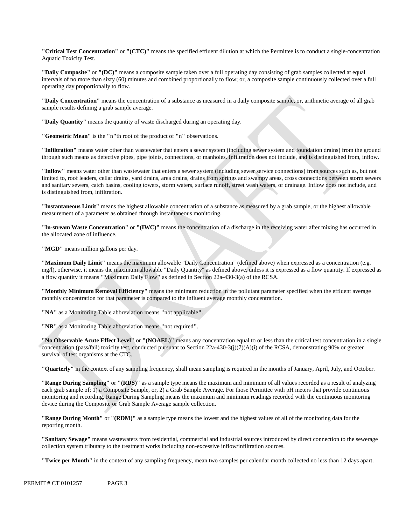**"Critical Test Concentration"** or **"(CTC)"** means the specified effluent dilution at which the Permittee is to conduct a single-concentration Aquatic Toxicity Test.

**"Daily Composite"** or **"(DC)"** means a composite sample taken over a full operating day consisting of grab samples collected at equal intervals of no more than sixty (60) minutes and combined proportionally to flow; or, a composite sample continuously collected over a full operating day proportionally to flow.

**"Daily Concentration"** means the concentration of a substance as measured in a daily composite sample, or, arithmetic average of all grab sample results defining a grab sample average.

**"Daily Quantity"** means the quantity of waste discharged during an operating day.

**"Geometric Mean"** is the **"**n**"**th root of the product of **"**n**"** observations.

**"Infiltration"** means water other than wastewater that enters a sewer system (including sewer system and foundation drains) from the ground through such means as defective pipes, pipe joints, connections, or manholes. Infiltration does not include, and is distinguished from, inflow.

**"Inflow"** means water other than wastewater that enters a sewer system (including sewer service connections) from sources such as, but not limited to, roof leaders, cellar drains, yard drains, area drains, drains from springs and swampy areas, cross connections between storm sewers and sanitary sewers, catch basins, cooling towers, storm waters, surface runoff, street wash waters, or drainage. Inflow does not include, and is distinguished from, infiltration.

**"Instantaneous Limit"** means the highest allowable concentration of a substance as measured by a grab sample, or the highest allowable measurement of a parameter as obtained through instantaneous monitoring.

**"In-stream Waste Concentration"** or **"(IWC)"** means the concentration of a discharge in the receiving water after mixing has occurred in the allocated zone of influence.

"MGD" means million gallons per day.

**"Maximum Daily Limit"** means the maximum allowable "Daily Concentration" (defined above) when expressed as a concentration (e.g. mg/l), otherwise, it means the maximum allowable "Daily Quantity" as defined above, unless it is expressed as a flow quantity. If expressed as a flow quantity it means **"**Maximum Daily Flow**"** as defined in Section 22a-430-3(a) of the RCSA.

**"Monthly Minimum Removal Efficiency"** means the minimum reduction in the pollutant parameter specified when the effluent a verage monthly concentration for that parameter is compared to the influent average monthly concentration.

**"NA"** as a Monitoring Table abbreviation means **"**not applicable**"**.

**"NR"** as a Monitoring Table abbreviation means **"**not required**"**.

**"No Observable Acute Effect Level"** or **"(NOAEL)"** means any concentration equal to or less than the critical test concentration in a single concentration (pass/fail) toxicity test, conducted pursuant to Section 22a-430-3(j)(7)(A)(i) of the RCSA, demonstrating 90% or greater survival of test organisms at the CTC.

**"Quarterly"** in the context of any sampling frequency, shall mean sampling is required in the months of January, April, July, and October.

**"Range During Sampling"** or **"(RDS)"** as a sample type means the maximum and minimum of all values recorded as a result of analyzing each grab sample of; 1) a Composite Sample, or, 2) a Grab Sample Average. For those Permittee with pH meters that provide continuous monitoring and recording, Range During Sampling means the maximum and minimum readings recorded with the continuous monitoring device during the Composite or Grab Sample Average sample collection.

**"Range During Month"** or **"(RDM)"** as a sample type means the lowest and the highest values of all of the monitoring data for the reporting month.

**"Sanitary Sewage"** means wastewaters from residential, commercial and industrial sources introduced by direct connection to the sewerage collection system tributary to the treatment works including non-excessive inflow/infiltration sources.

**"Twice per Month"** in the context of any sampling frequency, mean two samples per calendar month collected no less than 12 days apart.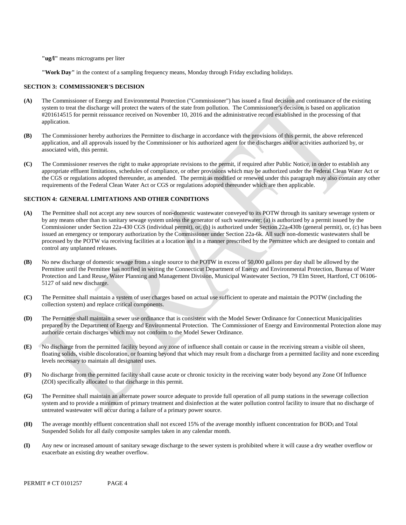**"ug/l"** means micrograms per liter

**"Work Day"** in the context of a sampling frequency means, Monday through Friday excluding holidays.

#### **SECTION 3: COMMISSIONER'S DECISION**

- #201614515 for permit reissuance received on November 10, 2016 and the administrative record established in the processing of that application. **(A)** The Commissioner of Energy and Environmental Protection ("Commissioner") has issued a final decision and continuance of the existing system to treat the discharge will protect the waters of the state from pollution. The Commissioner's decision is based on application
- **(B)** The Commissioner hereby authorizes the Permittee to discharge in accordance with the provisions of this permit, the above referenced application, and all approvals issued by the Commissioner or his authorized agent for the discharges and/or activities authorized by, or associated with, this permit.
- **(C)** The Commissioner reserves the right to make appropriate revisions to the permit, if required after Public Notice, in order to establish any appropriate effluent limitations, schedules of compliance, or other provisions which may be authorized under the Federal Clean Water Act or the CGS or regulations adopted thereunder, as amended. The permit as modified or renewed under this paragraph may also contain any other requirements of the Federal Clean Water Act or CGS or regulations adopted thereunder which are then applicable.

#### **SECTION 4: GENERAL LIMITATIONS AND OTHER CONDITIONS**

- **(A)** The Permittee shall not accept any new sources of non-domestic wastewater conveyed to its POTW through its sanitary sewerage system or by any means other than its sanitary sewage system unless the generator of such wastewater; (a) is authorized by a permit issued by the Commissioner under Section 22a-430 CGS (individual permit), or, (b) is authorized under Section 22a-430b (general permit), or, (c) has been issued an emergency or temporary authorization by the Commissioner under Section 22a-6k. All such non-domestic wastewaters shall be processed by the POTW via receiving facilities at a location and in a manner prescribed by the Permittee which are designed to contain and control any unplanned releases.
- No new discharge of domestic sewage from a single source to the POTW in excess of 50,000 gallons per day shall be allowed by the **(B)** Permittee until the Permittee has notified in writing the Connecticut Department of Energy and Environmental Protection, Bureau of Water Protection and Land Reuse, Water Planning and Management Division, Municipal Wastewater Section, 79 Elm Street, Hartford, CT 06106- 5127 of said new discharge.
- collection system) and replace critical components. **(C)** The Permittee shall maintain a system of user charges based on actual use sufficient to operate and maintain the POTW (including the
- **(D)** The Permittee shall maintain a sewer use ordinance that is consistent with the Model Sewer Ordinance for Connecticut Municipalities prepared by the Department of Energy and Environmental Protection. The Commissioner of Energy and Environmental Protection alone may authorize certain discharges which may not conform to the Model Sewer Ordinance.
- **(E)** No discharge from the permitted facility beyond any zone of influence shall contain or cause in the receiving stream a visible oil sheen, floating solids, visible discoloration, or foaming beyond that which may result from a discharge from a permitted facility and none exceeding levels necessary to maintain all designated uses.
- **(F)** No discharge from the permitted facility shall cause acute or chronic toxicity in the receiving water body beyond any Zone Of Influence (ZOI) specifically allocated to that discharge in this permit.
- **(G)** The Permittee shall maintain an alternate power source adequate to provide full operation of all pump stations in the sewerage collection system and to provide a minimum of primary treatment and disinfection at the water pollution control facility to insure that no discharge of untreated wastewater will occur during a failure of a primary power source.
- **(H)** The average monthly effluent concentration shall not exceed 15% of the average monthly influent concentration for BOD<sub>5</sub> and Total Suspended Solids for all daily composite samples taken in any calendar month.
- **(I)** Any new or increased amount of sanitary sewage discharge to the sewer system is prohibited where it will cause a dry weather overflow or exacerbate an existing dry weather overflow.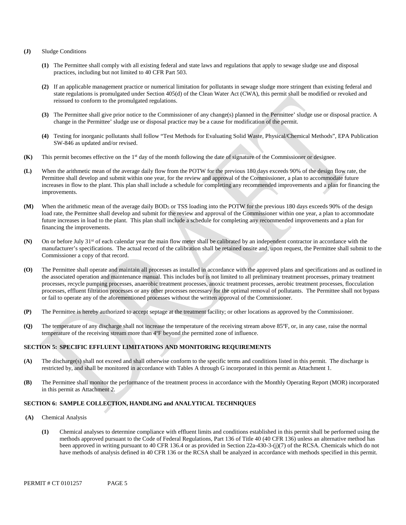#### **(J)** Sludge Conditions

- **(1)** The Permittee shall comply with all existing federal and state laws and regulations that apply to sewage sludge use and disposal practices, including but not limited to 40 CFR Part 503.
- **(2)** If an applicable management practice or numerical limitation for pollutants in sewage sludge more stringent than existing federal and state regulations is promulgated under Section 405(d) of the Clean Water Act (CWA), this permit shall be modified or revoked and reissued to conform to the promulgated regulations.
- **(3)** The Permittee shall give prior notice to the Commissioner of any change(s) planned in the Permittee' sludge use or disposal practice. A change in the Permittee' sludge use or disposal practice may be a cause for modification of the permit.
- **(4)** Testing for inorganic pollutants shall follow "Test Methods for Evaluating Solid Waste, Physical/Chemical Methods", EPA Publication SW-846 as updated and/or revised.
- **(K)** This permit becomes effective on the 1st day of the month following the date of signature of the Commissioner or designee.
- **(L)** When the arithmetic mean of the average daily flow from the POTW for the previous 180 days exceeds 90% of the design flow rate, the Permittee shall develop and submit within one year, for the review and approval of the Commissioner, a plan to accommodate future increases in flow to the plant. This plan shall include a schedule for completing any recommended improvements and a plan for financing the improvements.
- **(M)** When the arithmetic mean of the average daily BOD5 or TSS loading into the POTW for the previous 180 days exceeds 90% of the design load rate, the Permittee shall develop and submit for the review and approval of the Commissioner within one year, a plan to accommodate future increases in load to the plant. This plan shall include a schedule for completing any recommended improvements and a plan for financing the improvements.
- **(N)** On or before July 31st of each calendar year the main flow meter shall be calibrated by an independent contractor in accordance with the manufacturer's specifications. The actual record of the calibration shall be retained onsite and, upon request, the Permittee shall submit to the Commissioner a copy of that record.
- **(O)** The Permittee shall operate and maintain all processes as installed in accordance with the approved plans and specifications and as outlined in the associated operation and maintenance manual. This includes but is not limited to all preliminary treatment processes, primary treatment processes, recycle pumping processes, anaerobic treatment processes, anoxic treatment processes, aerobic treatment processes, flocculation processes, effluent filtration processes or any other processes necessary for the optimal removal of pollutants. The Permittee shall not bypass or fail to operate any of the aforementioned processes without the written approval of the Commissioner.
- **(P)** The Permittee is hereby authorized to accept septage at the treatment facility; or other locations as approved by the Commissioner.
- **(Q)** The temperature of any discharge shall not increase the temperature of the receiving stream above 85ºF, or, in any case, raise the normal temperature of the receiving stream more than 4ºF beyond the permitted zone of influence.

### **SECTION 5: SPECIFIC EFFLUENT LIMITATIONS AND MONITORING REQUIREMENTS**

- **(A)** The discharge(s) shall not exceed and shall otherwise conform to the specific terms and conditions listed in this permit. The discharge is restricted by, and shall be monitored in accordance with Tables A through G incorporated in this permit as Attachment 1.
- **(B)** The Permittee shall monitor the performance of the treatment process in accordance with the Monthly Operating Report (MOR) incorporated in this permit as Attachment 2.

### **SECTION 6: SAMPLE COLLECTION, HANDLING and ANALYTICAL TECHNIQUES**

- **(A)** Chemical Analysis
	- **(1)** Chemical analyses to determine compliance with effluent limits and conditions established in this permit shall be performed using the methods approved pursuant to the Code of Federal Regulations, Part 136 of Title 40 (40 CFR 136) unless an alternative method has been approved in writing pursuant to 40 CFR 136.4 or as provided in Section 22a-430-3-(j)(7) of the RCSA. Chemicals which do not have methods of analysis defined in 40 CFR 136 or the RCSA shall be analyzed in accordance with methods specified in this permit.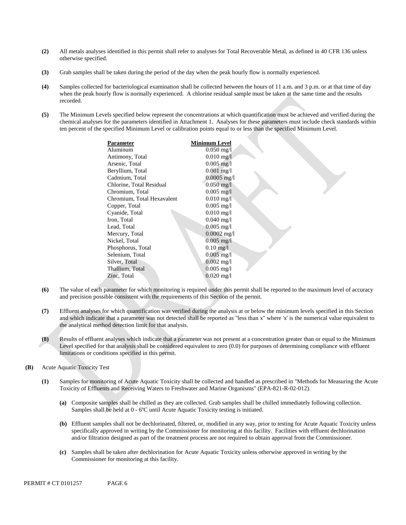- **(2)** All metals analyses identified in this permit shall refer to analyses for Total Recoverable Metal, as defined in 40 CFR 136 unless otherwise specified.
- **(3)** Grab samples shall be taken during the period of the day when the peak hourly flow is normally experienced.
- **(4)** Samples collected for bacteriological examination shall be collected between the hours of 11 a.m. and 3 p.m. or at that time of day when the peak hourly flow is normally experienced. A chlorine residual sample must be taken at the same time and the results recorded.
- chemical analyses for the parameters identified in Attachment 1. Analyses for these parameters must include check standards within **(5)** The Minimum Levels specified below represent the concentrations at which quantification must be achieved and verified during the ten percent of the specified Minimum Level or calibration points equal to or less than the specified Minimum Level.

| Parameter                  | <b>Minimum Level</b>    |
|----------------------------|-------------------------|
| Aluminum                   | $0.050 \,\mathrm{mg}/l$ |
| Antimony, Total            | $0.010 \,\mathrm{mg}/l$ |
| Arsenic, Total             | $0.005$ mg/l            |
| Beryllium, Total           | $0.001$ mg/l            |
| Cadmium, Total             | $0.0005$ mg/l           |
| Chlorine, Total Residual   | $0.050$ mg/l            |
| Chromium, Total            | $0.005 \text{ mg}/1$    |
| Chromium, Total Hexavalent | $0.010$ mg/l            |
| Copper, Total              | $0.005$ mg/l            |
| Cyanide, Total             | $0.010$ mg/l            |
| Iron, Total                | $0.040 \text{ mg/l}$    |
| Lead, Total                | $0.005 \text{ mg/l}$    |
| Mercury, Total             | $0.0002$ mg/l           |
| Nickel, Total              | $0.005$ mg/l            |
| Phosphorus, Total          | $0.10 \text{ mg}/1$     |
| Selenium, Total            | $0.005 \text{ mg/l}$    |
| Silver, Total              | $0.002 \text{ mg/l}$    |
| Thallium, Total            | $0.005$ mg/l            |
| Zinc, Total                | $0.020 \,\mathrm{mg}/l$ |
|                            |                         |

- **(6)** The value of each parameter for which monitoring is required under this permit shall be reported to the maximum level of accuracy and precision possible consistent with the requirements of this Section of the permit.
- **(7)** Effluent analyses for which quantification was verified during the analysis at or below the minimum levels specified in this Section and which indicate that a parameter was not detected shall be reported as "less than x" where 'x' is the numerical value equivalent to the analytical method detection limit for that analysis.
- **(8)** Results of effluent analyses which indicate that a parameter was not present at a concentration greater than or equal to the Minimum Level specified for that analysis shall be considered equivalent to zero (0.0) for purposes of determining compliance with effluent limitations or conditions specified in this permit.
- **(B)** Acute Aquatic Toxicity Test
	- **(1)** Samples for monitoring of Acute Aquatic Toxicity shall be collected and handled as prescribed in "Methods for Measuring the Acute Toxicity of Effluents and Receiving Waters to Freshwater and Marine Organisms" (EPA-821-R-02-012).
		- **(a)** Composite samples shall be chilled as they are collected. Grab samples shall be chilled immediately following collection. Samples shall be held at 0 - 6ºC until Acute Aquatic Toxicity testing is initiated.
		- **(b)** Effluent samples shall not be dechlorinated, filtered, or, modified in any way, prior to testing for Acute Aquatic Toxicity unless specifically approved in writing by the Commissioner for monitoring at this facility. Facilities with effluent dechlorination and/or filtration designed as part of the treatment process are not required to obtain approval from the Commissioner.
		- **(c)** Samples shall be taken after dechlorination for Acute Aquatic Toxicity unless otherwise approved in writing by the Commissioner for monitoring at this facility.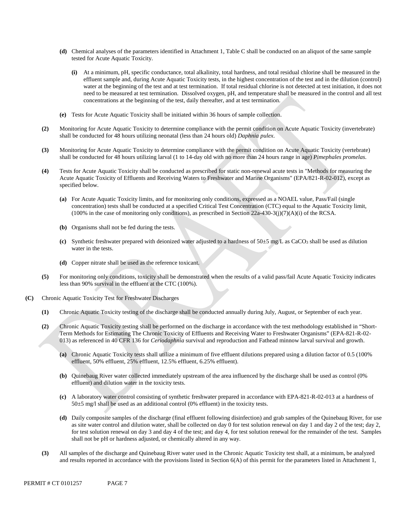- **(d)** Chemical analyses of the parameters identified in Attachment 1, Table C shall be conducted on an aliquot of the same sample tested for Acute Aquatic Toxicity.
	- concentrations at the beginning of the test, daily thereafter, and at test termination. **(i)** At a minimum, pH, specific conductance, total alkalinity, total hardness, and total residual chlorine shall be measured in the effluent sample and, during Acute Aquatic Toxicity tests, in the highest concentration of the test and in the dilution (control) water at the beginning of the test and at test termination. If total residual chlorine is not detected at test initiation, it does not need to be measured at test termination. Dissolved oxygen, pH, and temperature shall be measured in the control and all test
- **(e)** Tests for Acute Aquatic Toxicity shall be initiated within 36 hours of sample collection.
- **(2)** Monitoring for Acute Aquatic Toxicity to determine compliance with the permit condition on Acute Aquatic Toxicity (invertebrate) shall be conducted for 48 hours utilizing neonatal (less than 24 hours old) *Daphnia pulex*.
- **(3)** Monitoring for Acute Aquatic Toxicity to determine compliance with the permit condition on Acute Aquatic Toxicity (vertebrate) shall be conducted for 48 hours utilizing larval (1 to 14-day old with no more than 24 hours range in age) *Pimephales promelas*.
- **(4)** Tests for Acute Aquatic Toxicity shall be conducted as prescribed for static non-renewal acute tests in "Methods for measuring the Acute Aquatic Toxicity of Effluents and Receiving Waters to Freshwater and Marine Organisms" (EPA/821-R-02-012), except as specified below.
	- **(a)** For Acute Aquatic Toxicity limits, and for monitoring only conditions, expressed as a NOAEL value, Pass/Fail (single concentration) tests shall be conducted at a specified Critical Test Concentration (CTC) equal to the Aquatic Toxicity limit,  $(100\%$  in the case of monitoring only conditions), as prescribed in Section 22a-430-3(j)(7)(A)(i) of the RCSA.
	- **(b)** Organisms shall not be fed during the tests.
	- **(c)** Synthetic freshwater prepared with deionized water adjusted to a hardness of 50±5 mg/L as CaCO3 shall be used as dilution water in the tests.
	- **(d)** Copper nitrate shall be used as the reference toxicant.
- **(5)** For monitoring only conditions, toxicity shall be demonstrated when the results of a valid pass/fail Acute Aquatic Toxicity indicates less than 90% survival in the effluent at the CTC (100%).
- **(C)** Chronic Aquatic Toxicity Test for Freshwater Discharges
	- **(1)** Chronic Aquatic Toxicity testing of the discharge shall be conducted annually during July, August, or September of each year.
	- **(2)** 013) as referenced in 40 CFR 136 for *Ceriodaphnia* survival and reproduction and Fathead minnow larval survival and growth. Chronic Aquatic Toxicity testing shall be performed on the discharge in accordance with the test methodology established in "Short-Term Methods for Estimating The Chronic Toxicity of Effluents and Receiving Water to Freshwater Organisms" (EPA-821-R-02-
		- **(a)** Chronic Aquatic Toxicity tests shall utilize a minimum of five effluent dilutions prepared using a dilution factor of 0.5 (100% effluent, 50% effluent, 25% effluent, 12.5% effluent, 6.25% effluent).
		- **(b)** Quinebaug River water collected immediately upstream of the area influenced by the discharge shall be used as control (0% effluent) and dilution water in the toxicity tests.
		- **(c)** A laboratory water control consisting of synthetic freshwater prepared in accordance with EPA-821-R-02-013 at a hardness of  $50±5$  mg/l shall be used as an additional control (0% effluent) in the toxicity tests.
		- for test solution renewal on day 3 and day 4 of the test; and day 4, for test solution renewal for the remainder of the test. Samples shall not be pH or hardness adjusted, or chemically altered in any way.**(d)** Daily composite samples of the discharge (final effluent following disinfection) and grab samples of the Quinebaug River, for use as site water control and dilution water, shall be collected on day 0 for test solution renewal on day 1 and day 2 of the test; day 2,
	- **(3)** All samples of the discharge and Quinebaug River water used in the Chronic Aquatic Toxicity test shall, at a minimum, be analyzed and results reported in accordance with the provisions listed in Section  $6(A)$  of this permit for the parameters listed in Attachment 1,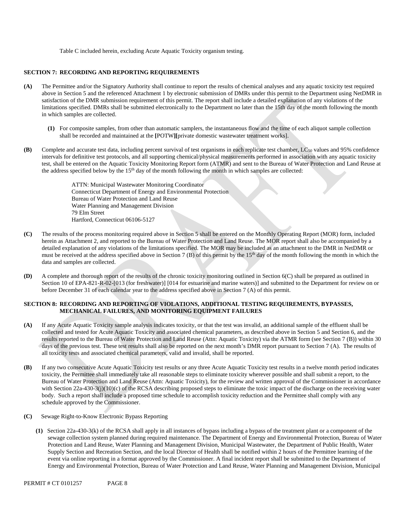Table C included herein, excluding Acute Aquatic Toxicity organism testing.

### **SECTION 7: RECORDING AND REPORTING REQUIREMENTS**

- **(A)** The Permittee and/or the Signatory Authority shall continue to report the results of chemical analyses and any aquatic toxicity test required above in Section 5 and the referenced Attachment 1 by electronic submission of DMRs under this permit to the Department using NetDMR in satisfaction of the DMR submission requirement of this permit. The report shall include a detailed explanation of any violations of the limitations specified. DMRs shall be submitted electronically to the Department no later than the 15th day of the month following the month in which samples are collected.
	- **(1)** For composite samples, from other than automatic samplers, the instantaneous flow and the time of each aliquot sample collection shall be recorded and maintained at the **[**POTW**][**private domestic wastewater treatment works].
- **(B)** Complete and accurate test data, including percent survival of test organisms in each replicate test chamber, LC<sub>50</sub> values and 95% confidence intervals for definitive test protocols, and all supporting chemical/physical measurements performed in association with any aquatic toxicity test, shall be entered on the Aquatic Toxicity Monitoring Report form (ATMR) and sent to the Bureau of Water Protection and Land Reuse at the address specified below by the 15<sup>th</sup> day of the month following the month in which samples are collected:

ATTN: Municipal Wastewater Monitoring Coordinator Connecticut Department of Energy and Environmental Protection Bureau of Water Protection and Land Reuse Water Planning and Management Division 79 Elm Street Hartford, Connecticut 06106-5127

- **(C)** The results of the process monitoring required above in Section 5 shall be entered on the Monthly Operating Report (MOR) form, included herein as Attachment 2, and reported to the Bureau of Water Protection and Land Reuse. The MOR report shall also be accompanied by a detailed explanation of any violations of the limitations specified. The MOR may be included as an attachment to the DMR in NetDMR or must be received at the address specified above in Section 7 (B) of this permit by the 15<sup>th</sup> day of the month following the month in which the data and samples are collected.
- **(D)** A complete and thorough report of the results of the chronic toxicity monitoring outlined in Section 6(C) shall be prepared as outlined in Section 10 of EPA-821-R-02-[013 (for freshwater)] [014 for estuarine and marine waters)] and submitted to the Department for review on or before December 31 of each calendar year to the address specified above in Section 7 (A) of this permit.

#### **SECTION 8: RECORDING AND REPORTING OF VIOLATIONS, ADDITIONAL TESTING REQUIREMENTS, BYPASSES, MECHANICAL FAILURES, AND MONITORING EQUIPMENT FAILURES**

- If any Acute Aquatic Toxicity sample analysis indicates toxicity, or that the test was invalid, an additional sample of the effluent shall be **(A)** collected and tested for Acute Aquatic Toxicity and associated chemical parameters, as described above in Section 5 and Section 6, and the results reported to the Bureau of Water Protection and Land Reuse (Attn: Aquatic Toxicity) via the ATMR form (see Section 7 (B)) within 30 days of the previous test. These test results shall also be reported on the next month's DMR report pursuant to Section 7 (A). The results of all toxicity tests and associated chemical parameters, valid and invalid, shall be reported.
- **(B)** If any two consecutive Acute Aquatic Toxicity test results or any three Acute Aquatic Toxicity test results in a twelve month period indicates toxicity, the Permittee shall immediately take all reasonable steps to eliminate toxicity wherever possible and shall submit a report, to the Bureau of Water Protection and Land Reuse (Attn: Aquatic Toxicity), for the review and written approval of the Commissioner in accordance with Section 22a-430-3(j)(10)(c) of the RCSA describing proposed steps to eliminate the toxic impact of the discharge on the receiving water body. Such a report shall include a proposed time schedule to accomplish toxicity reduction and the Permittee shall comply with any schedule approved by the Commissioner.
- **(C)** Sewage Right-to-Know Electronic Bypass Reporting
	- **(1)** Section 22a-430-3(k) of the RCSA shall apply in all instances of bypass including a bypass of the treatment plant or a component of the sewage collection system planned during required maintenance. The Department of Energy and Environmental Protection, Bureau of Water Protection and Land Reuse, Water Planning and Management Division, Municipal Wastewater, the Department of Public Health, Water Supply Section and Recreation Section, and the local Director of Health shall be notified within 2 hours of the Permittee learning of the event via online reporting in a format approved by the Commissioner. A final incident report shall be submitted to the Department of Energy and Environmental Protection, Bureau of Water Protection and Land Reuse, Water Planning and Management Division, Municipal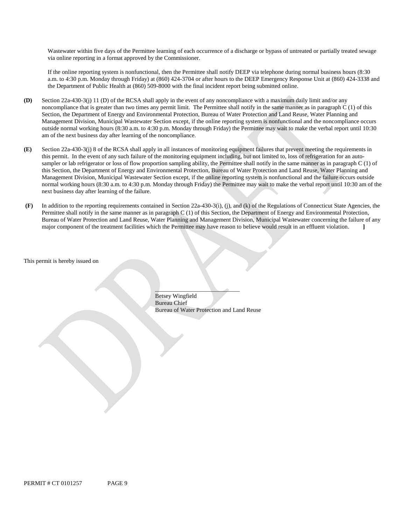Wastewater within five days of the Permittee learning of each occurrence of a discharge or bypass of untreated or partially treated sewage via online reporting in a format approved by the Commissioner.

If the online reporting system is nonfunctional, then the Permittee shall notify DEEP via telephone during normal business hours (8:30 a.m. to 4:30 p.m. Monday through Friday) at (860) 424-3704 or after hours to the DEEP Emergency Response Unit at (860) 424-3338 and the Department of Public Health at (860) 509-8000 with the final incident report being submitted online.

- **(D)** Section 22a-430-3(j) 11 (D) of the RCSA shall apply in the event of any noncompliance with a maximum daily limit and/or any noncompliance that is greater than two times any permit limit. The Permittee shall notify in the same manner as in paragraph C (1) of this Section, the Department of Energy and Environmental Protection, Bureau of Water Protection and Land Reuse, Water Planning and Management Division, Municipal Wastewater Section except, if the online reporting system is nonfunctional and the noncompliance occurs outside normal working hours (8:30 a.m. to 4:30 p.m. Monday through Friday) the Permittee may wait to make the verbal report until 10:30 am of the next business day after learning of the noncompliance.
- **(E)** Section 22a-430-3(j) 8 of the RCSA shall apply in all instances of monitoring equipment failures that prevent meeting the requirements in this permit. In the event of any such failure of the monitoring equipment including, but not limited to, loss of refrigeration for an autosampler or lab refrigerator or loss of flow proportion sampling ability, the Permittee shall notify in the same manner as in paragraph C (1) of this Section, the Department of Energy and Environmental Protection, Bureau of Water Protection and Land Reuse, Water Planning and Management Division, Municipal Wastewater Section except, if the online reporting system is nonfunctional and the failure occurs outside normal working hours (8:30 a.m. to 4:30 p.m. Monday through Friday) the Permittee may wait to make the verbal report until 10:30 am of the next business day after learning of the failure.
- **(F)** In addition to the reporting requirements contained in Section 22a-430-3(i), (j), and (k) of the Regulations of Connecticut State Agencies, the Permittee shall notify in the same manner as in paragraph C (1) of this Section, the Department of Energy and Environmental Protection, Bureau of Water Protection and Land Reuse, Water Planning and Management Division, Municipal Wastewater concerning the failure of any major component of the treatment facilities which the Permittee may have reason to believe would result in an effluent violation. **]**

This permit is hereby issued on

\_\_\_\_\_\_\_\_\_\_\_\_\_\_\_\_\_\_\_\_\_\_\_\_\_\_\_\_ Betsey Wingfield Bureau Chief Bureau of Water Protection and Land Reuse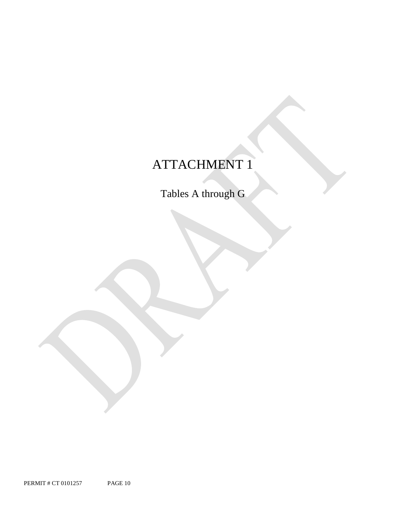# ATTACHMENT 1

Tables A through G

PERMIT # CT 0101257 PAGE 10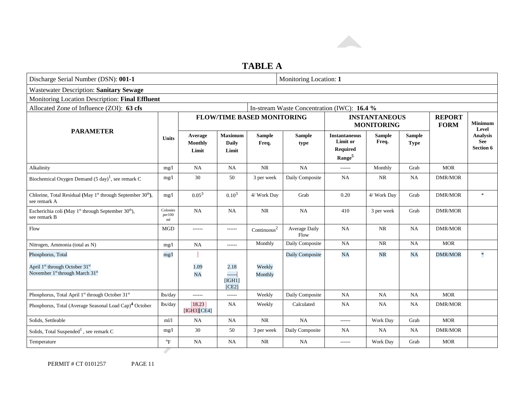

### **TABLE A**

| Discharge Serial Number (DSN): 001-1                                                                              |                           |                                    |                                         |                                   | Monitoring Location: 1                      |                                                                                  |                                           |                              |                              |                                     |
|-------------------------------------------------------------------------------------------------------------------|---------------------------|------------------------------------|-----------------------------------------|-----------------------------------|---------------------------------------------|----------------------------------------------------------------------------------|-------------------------------------------|------------------------------|------------------------------|-------------------------------------|
| <b>Wastewater Description: Sanitary Sewage</b>                                                                    |                           |                                    |                                         |                                   |                                             |                                                                                  |                                           |                              |                              |                                     |
| Monitoring Location Description: Final Effluent                                                                   |                           |                                    |                                         |                                   |                                             |                                                                                  |                                           |                              |                              |                                     |
| Allocated Zone of Influence (ZOI): 63 cfs                                                                         |                           |                                    |                                         |                                   | In-stream Waste Concentration (IWC): 16.4 % |                                                                                  |                                           |                              |                              |                                     |
|                                                                                                                   |                           |                                    |                                         | <b>FLOW/TIME BASED MONITORING</b> |                                             |                                                                                  | <b>INSTANTANEOUS</b><br><b>MONITORING</b> |                              | <b>REPORT</b><br><b>FORM</b> | <b>Minimum</b><br>Level             |
| <b>PARAMETER</b>                                                                                                  | <b>Units</b>              | Average<br><b>Monthly</b><br>Limit | <b>Maximum</b><br><b>Daily</b><br>Limit | <b>Sample</b><br>Freq.            | <b>Sample</b><br>type                       | <b>Instantaneous</b><br><b>Limit</b> or<br><b>Required</b><br>Range <sup>5</sup> | <b>Sample</b><br>Freq.                    | <b>Sample</b><br><b>Type</b> |                              | <b>Analysis</b><br>See<br>Section 6 |
| Alkalinity                                                                                                        | mg/1                      | <b>NA</b>                          | <b>NA</b>                               | <b>NR</b>                         | NA                                          | ------                                                                           | Monthly                                   | Grab                         | <b>MOR</b>                   |                                     |
| Biochemical Oxygen Demand (5 day) <sup>1</sup> , see remark C                                                     | mg/1                      | 30                                 | 50                                      | 3 per week                        | Daily Composite                             | <b>NA</b>                                                                        | <b>NR</b>                                 | <b>NA</b>                    | <b>DMR/MOR</b>               |                                     |
| Chlorine, Total Residual (May 1 <sup>st</sup> through September 30 <sup>th</sup> ),<br>see remark A               | mg/l                      | $0.05^{3}$                         | $0.10^{3}$                              | 4/ Work Day                       | Grab                                        | 0.20                                                                             | 4/ Work Day                               | Grab                         | <b>DMR/MOR</b>               | $\mathcal{H}$                       |
| Escherichia coli (May 1 <sup>st</sup> through September 30 <sup>th</sup> ),<br>see remark B                       | Colonies<br>per100<br>ml  | <b>NA</b>                          | NA                                      | NR                                | NA                                          | 410                                                                              | 3 per week                                | Grab                         | <b>DMR/MOR</b>               |                                     |
| Flow                                                                                                              | <b>MGD</b>                | ------                             | ------                                  | Continuous <sup>2</sup>           | Average Daily<br>Flow                       | <b>NA</b>                                                                        | $\rm NR$                                  | NA                           | <b>DMR/MOR</b>               |                                     |
| Nitrogen, Ammonia (total as N)                                                                                    | mg/1                      | <b>NA</b>                          | ------                                  | Monthly                           | Daily Composite                             | <b>NA</b>                                                                        | <b>NR</b>                                 | <b>NA</b>                    | <b>MOR</b>                   |                                     |
| Phosphorus, Total                                                                                                 | mg/1                      |                                    |                                         |                                   | Daily Composite                             | NA                                                                               | <b>NR</b>                                 | NA                           | <b>DMR/MOR</b>               | ×                                   |
| April 1 <sup>st</sup> through October 31 <sup>st</sup><br>November 1 <sup>st</sup> through March 31 <sup>st</sup> |                           | 1.09<br><b>NA</b>                  | 2.18<br>------<br>[IGH1]<br>[CE2]       | Weekly<br>Monthly                 |                                             |                                                                                  |                                           |                              |                              |                                     |
| Phosphorus, Total April 1st through October 31st                                                                  | lbs/day                   | ------                             | ------                                  | Weekly                            | Daily Composite                             | NA                                                                               | <b>NA</b>                                 | <b>NA</b>                    | <b>MOR</b>                   |                                     |
| Phosphorus, Total (Average Seasonal Load Cap) <sup>4</sup> October                                                | lbs/day                   | 18.23<br>[IGH3] [CE4]              | NA                                      | Weekly                            | Calculated                                  | <b>NA</b>                                                                        | NA                                        | NA                           | <b>DMR/MOR</b>               |                                     |
| Solids, Settleable                                                                                                | m1/1                      | <b>NA</b>                          | NA                                      | <b>NR</b>                         | NA                                          | ------                                                                           | Work Day                                  | Grab                         | <b>MOR</b>                   |                                     |
| Solids, Total Suspended <sup>1</sup> , see remark C                                                               | mg/1                      | 30                                 | 50                                      | 3 per week                        | Daily Composite                             | <b>NA</b>                                                                        | NA                                        | <b>NA</b>                    | <b>DMR/MOR</b>               |                                     |
| Temperature                                                                                                       | $\mathrm{P}_{\mathrm{F}}$ | <b>NA</b>                          | <b>NA</b>                               | <b>NR</b>                         | NA                                          | ------                                                                           | Work Day                                  | Grab                         | <b>MOR</b>                   |                                     |
|                                                                                                                   |                           |                                    |                                         |                                   |                                             |                                                                                  |                                           |                              |                              |                                     |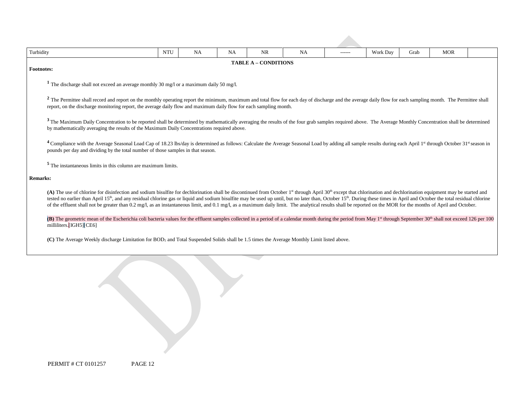| Turbidity       |                                                                                                                                                                                                                                                                                                                                                                                                                                                                                                                                                                                                                                                                                                                        | <b>NTU</b><br><b>NA</b><br><b>NA</b><br>NR<br>Work Day<br><b>MOR</b><br><b>NA</b><br>Grab<br>------ |  |  |  |  |  |  |  |  |  |
|-----------------|------------------------------------------------------------------------------------------------------------------------------------------------------------------------------------------------------------------------------------------------------------------------------------------------------------------------------------------------------------------------------------------------------------------------------------------------------------------------------------------------------------------------------------------------------------------------------------------------------------------------------------------------------------------------------------------------------------------------|-----------------------------------------------------------------------------------------------------|--|--|--|--|--|--|--|--|--|
|                 | <b>TABLE A - CONDITIONS</b><br><b>Footnotes:</b>                                                                                                                                                                                                                                                                                                                                                                                                                                                                                                                                                                                                                                                                       |                                                                                                     |  |  |  |  |  |  |  |  |  |
|                 | <sup>1</sup> The discharge shall not exceed an average monthly 30 mg/l or a maximum daily 50 mg/l.                                                                                                                                                                                                                                                                                                                                                                                                                                                                                                                                                                                                                     |                                                                                                     |  |  |  |  |  |  |  |  |  |
|                 | <sup>2</sup> The Permittee shall record and report on the monthly operating report the minimum, maximum and total flow for each day of discharge and the average daily flow for each sampling month. The Permittee shall<br>report, on the discharge monitoring report, the average daily flow and maximum daily flow for each sampling month.                                                                                                                                                                                                                                                                                                                                                                         |                                                                                                     |  |  |  |  |  |  |  |  |  |
|                 | <sup>3</sup> The Maximum Daily Concentration to be reported shall be determined by mathematically averaging the results of the four grab samples required above. The Average Monthly Concentration shall be determined<br>by mathematically averaging the results of the Maximum Daily Concentrations required above.                                                                                                                                                                                                                                                                                                                                                                                                  |                                                                                                     |  |  |  |  |  |  |  |  |  |
|                 | <sup>4</sup> Compliance with the Average Seasonal Load Cap of 18.23 lbs/day is determined as follows: Calculate the Average Seasonal Load by adding all sample results during each April 1 <sup>st</sup> through October 31 <sup>st</sup> season in<br>pounds per day and dividing by the total number of those samples in that season.                                                                                                                                                                                                                                                                                                                                                                                |                                                                                                     |  |  |  |  |  |  |  |  |  |
|                 | <sup>5</sup> The instantaneous limits in this column are maximum limits.                                                                                                                                                                                                                                                                                                                                                                                                                                                                                                                                                                                                                                               |                                                                                                     |  |  |  |  |  |  |  |  |  |
| <b>Remarks:</b> |                                                                                                                                                                                                                                                                                                                                                                                                                                                                                                                                                                                                                                                                                                                        |                                                                                                     |  |  |  |  |  |  |  |  |  |
|                 | (A) The use of chlorine for disinfection and sodium bisulfite for dechlorination shall be discontinued from October 1 <sup>st</sup> through April 30 <sup>th</sup> except that chlorination and dechlorination equipment may be started and<br>tested no earlier than April 15 <sup>th</sup> , and any residual chlorine gas or liquid and sodium bisulfite may be used up until, but no later than, October 15 <sup>th</sup> . During these times in April and October the total residual chlorine<br>of the effluent shall not be greater than 0.2 mg/l, as an instantaneous limit, and 0.1 mg/l, as a maximum daily limit. The analytical results shall be reported on the MOR for the months of April and October. |                                                                                                     |  |  |  |  |  |  |  |  |  |
|                 | (B) The geometric mean of the Escherichia coli bacteria values for the effluent samples collected in a period of a calendar month during the period from May 1 <sup>st</sup> through September 30 <sup>th</sup> shall not exceed 126 per 100<br>milliliters.[IGH5]CE6]                                                                                                                                                                                                                                                                                                                                                                                                                                                 |                                                                                                     |  |  |  |  |  |  |  |  |  |
|                 | (C) The Average Weekly discharge Limitation for BOD <sub>5</sub> and Total Suspended Solids shall be 1.5 times the Average Monthly Limit listed above.                                                                                                                                                                                                                                                                                                                                                                                                                                                                                                                                                                 |                                                                                                     |  |  |  |  |  |  |  |  |  |

| PERMIT # CT 0101257 | PAGE 12 |
|---------------------|---------|
|---------------------|---------|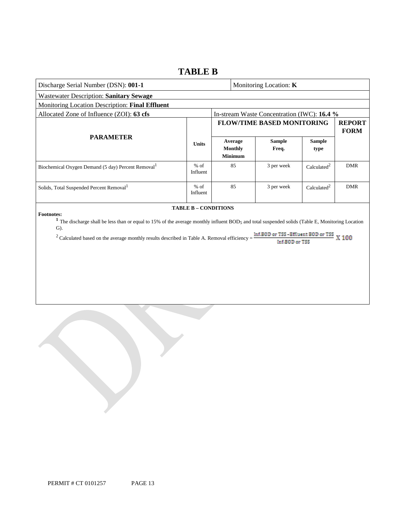### **TABLE B**

| Discharge Serial Number (DSN): 001-1                                                                                                                                                                                                                                                                                                                                                                                    |                    |  |                                             | Monitoring Location: K                      |                         |                              |
|-------------------------------------------------------------------------------------------------------------------------------------------------------------------------------------------------------------------------------------------------------------------------------------------------------------------------------------------------------------------------------------------------------------------------|--------------------|--|---------------------------------------------|---------------------------------------------|-------------------------|------------------------------|
| Wastewater Description: Sanitary Sewage                                                                                                                                                                                                                                                                                                                                                                                 |                    |  |                                             |                                             |                         |                              |
| Monitoring Location Description: Final Effluent                                                                                                                                                                                                                                                                                                                                                                         |                    |  |                                             |                                             |                         |                              |
| Allocated Zone of Influence (ZOI): 63 cfs                                                                                                                                                                                                                                                                                                                                                                               |                    |  |                                             | In-stream Waste Concentration (IWC): 16.4 % |                         |                              |
|                                                                                                                                                                                                                                                                                                                                                                                                                         |                    |  |                                             | <b>FLOW/TIME BASED MONITORING</b>           |                         | <b>REPORT</b><br><b>FORM</b> |
| <b>PARAMETER</b>                                                                                                                                                                                                                                                                                                                                                                                                        | <b>Units</b>       |  | Average<br><b>Monthly</b><br><b>Minimum</b> | <b>Sample</b><br>Freq.                      | <b>Sample</b><br>type   |                              |
| Biochemical Oxygen Demand (5 day) Percent Removal <sup>1</sup>                                                                                                                                                                                                                                                                                                                                                          | $%$ of<br>Influent |  | 85                                          | 3 per week                                  | Calculated <sup>2</sup> | <b>DMR</b>                   |
| Solids, Total Suspended Percent Removal <sup>1</sup>                                                                                                                                                                                                                                                                                                                                                                    | $%$ of<br>Influent |  | 85                                          | 3 per week                                  | Calculated <sup>2</sup> | <b>DMR</b>                   |
| <b>TABLE B - CONDITIONS</b><br><b>Footnotes:</b><br><sup>1</sup> The discharge shall be less than or equal to 15% of the average monthly influent BOD <sub>5</sub> and total suspended solids (Table E, Monitoring Location<br>$\mathbf{G}$ ).<br>Inf.BOD or TSS-Effluent BOD or TSS X 100<br><sup>2</sup> Calculated based on the average monthly results described in Table A. Removal efficiency =<br>Inf.BOD or TSS |                    |  |                                             |                                             |                         |                              |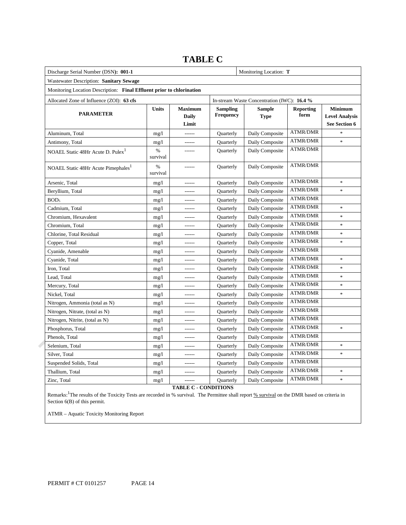| Discharge Serial Number (DSN): 001-1                                  |                  | Monitoring Location: T                  |                              |                                             |                          |                                                          |
|-----------------------------------------------------------------------|------------------|-----------------------------------------|------------------------------|---------------------------------------------|--------------------------|----------------------------------------------------------|
| Wastewater Description: Sanitary Sewage                               |                  |                                         |                              |                                             |                          |                                                          |
| Monitoring Location Description: Final Effluent prior to chlorination |                  |                                         |                              |                                             |                          |                                                          |
| Allocated Zone of Influence (ZOI): 63 cfs                             |                  |                                         |                              | In-stream Waste Concentration (IWC): 16.4 % |                          |                                                          |
| <b>PARAMETER</b>                                                      | <b>Units</b>     | <b>Maximum</b><br><b>Daily</b><br>Limit | <b>Sampling</b><br>Frequency | <b>Sample</b><br><b>Type</b>                | <b>Reporting</b><br>form | <b>Minimum</b><br><b>Level Analysis</b><br>See Section 6 |
| Aluminum, Total                                                       | mg/1             | ------                                  | Quarterly                    | Daily Composite                             | <b>ATMR/DMR</b>          | $\mathbf{x}$                                             |
| Antimony, Total                                                       | mg/1             | ------                                  | Quarterly                    | Daily Composite                             | <b>ATMR/DMR</b>          | $\ast$                                                   |
| NOAEL Static 48Hr Acute D. Pulex <sup>1</sup>                         | $\%$<br>survival | ------                                  | Quarterly                    | Daily Composite                             | <b>ATMR/DMR</b>          |                                                          |
| NOAEL Static 48Hr Acute Pimephales <sup>1</sup>                       | $\%$<br>survival |                                         | Quarterly                    | Daily Composite                             | <b>ATMR/DMR</b>          |                                                          |
| Arsenic, Total                                                        | mg/1             | ------                                  | Quarterly                    | Daily Composite                             | <b>ATMR/DMR</b>          | $\ast$                                                   |
| Beryllium, Total                                                      | mg/1             |                                         | Quarterly                    | Daily Composite                             | <b>ATMR/DMR</b>          | $\ast$                                                   |
| BOD <sub>5</sub>                                                      | mg/1             | ------                                  | Quarterly                    | Daily Composite                             | <b>ATMR/DMR</b>          |                                                          |
| Cadmium, Total                                                        | mg/1             |                                         | Quarterly                    | Daily Composite                             | <b>ATMR/DMR</b>          | $\frac{1}{2}$                                            |
| Chromium, Hexavalent                                                  | mg/1             | ------                                  | Quarterly                    | Daily Composite                             | <b>ATMR/DMR</b>          | $\ast$                                                   |
| Chromium, Total                                                       | mg/1             | ------                                  | Quarterly                    | Daily Composite                             | <b>ATMR/DMR</b>          | $\frac{1}{2}$                                            |
| Chlorine, Total Residual                                              | mg/1             | ------                                  | Quarterly                    | Daily Composite                             | <b>ATMR/DMR</b>          | $\ast$                                                   |
| Copper, Total                                                         | mg/1             | ------                                  | Quarterly                    | Daily Composite                             | <b>ATMR/DMR</b>          | $\ast$                                                   |
| Cyanide, Amenable                                                     | mg/1             | ------                                  | Quarterly                    | Daily Composite                             | <b>ATMR/DMR</b>          |                                                          |
| Cyanide, Total                                                        | mg/1             | ------                                  | Quarterly                    | Daily Composite                             | <b>ATMR/DMR</b>          | $\frac{1}{2}$                                            |
| Iron, Total                                                           | mg/1             | ------                                  | Quarterly                    | Daily Composite                             | <b>ATMR/DMR</b>          | $\ast$                                                   |
| Lead, Total                                                           | mg/1             | ------                                  | Quarterly                    | Daily Composite                             | <b>ATMR/DMR</b>          | $\frac{1}{2}$                                            |
| Mercury, Total                                                        | mg/1             | ------                                  | Quarterly                    | Daily Composite                             | <b>ATMR/DMR</b>          | $\ast$                                                   |
| Nickel, Total                                                         | mg/1             | ------                                  | Quarterly                    | Daily Composite                             | <b>ATMR/DMR</b>          | $\ast$                                                   |
| Nitrogen, Ammonia (total as N)                                        | mg/1             | ------                                  | Quarterly                    | Daily Composite                             | <b>ATMR/DMR</b>          |                                                          |
| Nitrogen, Nitrate, (total as N)                                       | mg/1             | ------                                  | Quarterly                    | Daily Composite                             | <b>ATMR/DMR</b>          |                                                          |
| Nitrogen, Nitrite, (total as N)                                       | mg/1             | ------                                  | Quarterly                    | Daily Composite                             | <b>ATMR/DMR</b>          |                                                          |
| Phosphorus, Total                                                     | mg/1             | ------                                  | Quarterly                    | Daily Composite                             | <b>ATMR/DMR</b>          | $\ast$                                                   |
| Phenols, Total                                                        | mg/1             | ------                                  | Quarterly                    | Daily Composite                             | <b>ATMR/DMR</b>          |                                                          |
| Selenium, Total                                                       | mg/1             |                                         | Quarterly                    | Daily Composite                             | <b>ATMR/DMR</b>          | $\frac{1}{2}$                                            |
| Silver, Total                                                         | mg/1             | ------                                  | Quarterly                    | Daily Composite                             | <b>ATMR/DMR</b>          | $\ast$                                                   |
| Suspended Solids, Total                                               | mg/1             |                                         | Quarterly                    | Daily Composite                             | <b>ATMR/DMR</b>          |                                                          |
| Thallium, Total                                                       | mg/1             | ------                                  | Quarterly                    | Daily Composite                             | <b>ATMR/DMR</b>          | $\ast$                                                   |
| Zinc, Total                                                           | mg/1             |                                         | Quarterly                    | Daily Composite                             | <b>ATMR/DMR</b>          | $\ast$                                                   |

### **TABLE C**

**TABLE C - CONDITIONS** 

Remarks: <sup>1</sup>The results of the Toxicity Tests are recorded in % survival. The Permittee shall report % survival on the DMR based on criteria in Section 6(B) of this permit.

ATMR – Aquatic Toxicity Monitoring Report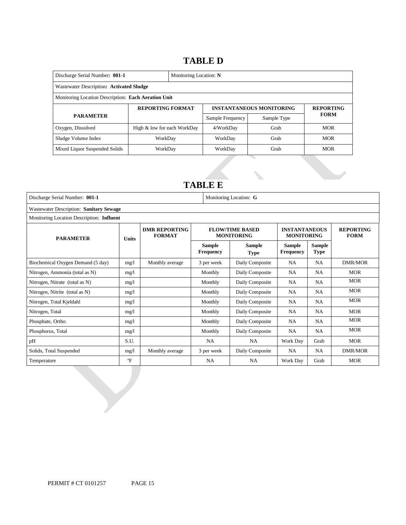### 14B**TABLE D**

| Discharge Serial Number: 001-1<br>Monitoring Location: N |                             |  |                  |                                 |                  |  |  |
|----------------------------------------------------------|-----------------------------|--|------------------|---------------------------------|------------------|--|--|
| Wastewater Description: Activated Sludge                 |                             |  |                  |                                 |                  |  |  |
| Monitoring Location Description: Each Aeration Unit      |                             |  |                  |                                 |                  |  |  |
| <b>REPORTING FORMAT</b>                                  |                             |  |                  | <b>INSTANTANEOUS MONITORING</b> | <b>REPORTING</b> |  |  |
| <b>PARAMETER</b>                                         |                             |  | Sample Frequency | Sample Type                     | <b>FORM</b>      |  |  |
| Oxygen, Dissolved                                        | High & low for each WorkDay |  | 4/WorkDay        | Grab                            | <b>MOR</b>       |  |  |
| Sludge Volume Index                                      | WorkDav                     |  | WorkDay          | Grab                            | <b>MOR</b>       |  |  |
| Mixed Liquor Suspended Solids                            | WorkDay                     |  | WorkDay          | Grab                            | <b>MOR</b>       |  |  |

### 15B**TABLE E**

| Discharge Serial Number: 001-1            |                                      | Monitoring Location: G |                                   |                                             |                                           |                              |                                 |
|-------------------------------------------|--------------------------------------|------------------------|-----------------------------------|---------------------------------------------|-------------------------------------------|------------------------------|---------------------------------|
| Wastewater Description: Sanitary Sewage   |                                      |                        |                                   |                                             |                                           |                              |                                 |
| Monitoring Location Description: Influent |                                      |                        |                                   |                                             |                                           |                              |                                 |
| <b>PARAMETER</b>                          | <b>DMR REPORTING</b><br><b>Units</b> |                        |                                   | <b>FLOW/TIME BASED</b><br><b>MONITORING</b> | <b>INSTANTANEOUS</b><br><b>MONITORING</b> |                              | <b>REPORTING</b><br><b>FORM</b> |
|                                           |                                      |                        | <b>Sample</b><br><b>Frequency</b> | Sample<br><b>Type</b>                       | <b>Sample</b><br><b>Frequency</b>         | <b>Sample</b><br><b>Type</b> |                                 |
| Biochemical Oxygen Demand (5 day)         | mg/1                                 | Monthly average        | 3 per week                        | Daily Composite                             | <b>NA</b>                                 | <b>NA</b>                    | DMR/MOR                         |
| Nitrogen, Ammonia (total as N)            | mg/1                                 |                        | Monthly                           | Daily Composite                             | NA.                                       | <b>NA</b>                    | <b>MOR</b>                      |
| Nitrogen, Nitrate (total as N)            | mg/1                                 |                        | Monthly                           | Daily Composite                             | NA                                        | <b>NA</b>                    | <b>MOR</b>                      |
| Nitrogen, Nitrite (total as N)            | mg/1                                 |                        | Monthly                           | Daily Composite                             | NA                                        | <b>NA</b>                    | <b>MOR</b>                      |
| Nitrogen, Total Kjeldahl                  | mg/l                                 |                        | Monthly                           | Daily Composite                             | NA                                        | <b>NA</b>                    | <b>MOR</b>                      |
| Nitrogen, Total                           | mg/1                                 |                        | Monthly                           | Daily Composite                             | NA.                                       | <b>NA</b>                    | <b>MOR</b>                      |
| Phosphate, Ortho                          | mg/1                                 |                        | Monthly                           | Daily Composite                             | NA                                        | <b>NA</b>                    | <b>MOR</b>                      |
| Phosphorus, Total                         | mg/1                                 |                        | Monthly                           | Daily Composite                             | NA                                        | <b>NA</b>                    | <b>MOR</b>                      |
| pH                                        | S.U.                                 |                        | <b>NA</b>                         | <b>NA</b>                                   | Work Day                                  | Grab                         | <b>MOR</b>                      |
| Solids, Total Suspended                   | mg/1                                 | Monthly average        | 3 per week                        | Daily Composite                             | NA                                        | <b>NA</b>                    | <b>DMR/MOR</b>                  |
| Temperature                               | $\mathrm{P}$                         |                        | NA                                | <b>NA</b>                                   | Work Day                                  | Grab                         | <b>MOR</b>                      |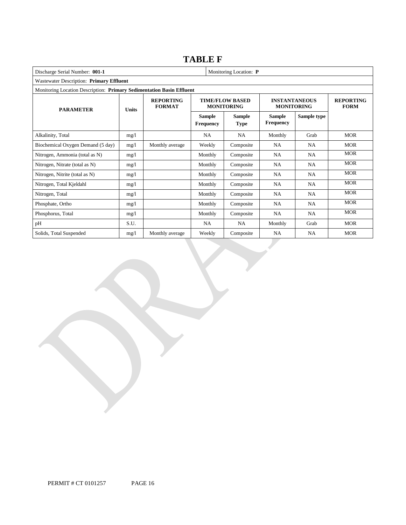### **TABLE F**

| Discharge Serial Number: 001-1                                        |              |                                   |                                   | Monitoring Location: P                      |                                           |                                 |            |  |  |
|-----------------------------------------------------------------------|--------------|-----------------------------------|-----------------------------------|---------------------------------------------|-------------------------------------------|---------------------------------|------------|--|--|
| Wastewater Description: Primary Effluent                              |              |                                   |                                   |                                             |                                           |                                 |            |  |  |
| Monitoring Location Description: Primary Sedimentation Basin Effluent |              |                                   |                                   |                                             |                                           |                                 |            |  |  |
| <b>PARAMETER</b>                                                      | <b>Units</b> | <b>REPORTING</b><br><b>FORMAT</b> |                                   | <b>TIME/FLOW BASED</b><br><b>MONITORING</b> | <b>INSTANTANEOUS</b><br><b>MONITORING</b> | <b>REPORTING</b><br><b>FORM</b> |            |  |  |
|                                                                       |              |                                   | <b>Sample</b><br><b>Frequency</b> | <b>Sample</b><br><b>Type</b>                | <b>Sample</b><br><b>Frequency</b>         | Sample type                     |            |  |  |
| Alkalinity, Total                                                     | mg/1         |                                   | <b>NA</b>                         | <b>NA</b>                                   | Monthly                                   | Grab                            | <b>MOR</b> |  |  |
| Biochemical Oxygen Demand (5 day)                                     | mg/1         | Monthly average                   | Weekly                            | Composite                                   | <b>NA</b>                                 | NA                              | <b>MOR</b> |  |  |
| Nitrogen, Ammonia (total as N)                                        | mg/l         |                                   | Monthly                           | Composite                                   | <b>NA</b>                                 | <b>NA</b>                       | <b>MOR</b> |  |  |
| Nitrogen, Nitrate (total as N)                                        | mg/1         |                                   | Monthly                           | Composite                                   | <b>NA</b>                                 | NA                              | <b>MOR</b> |  |  |
| Nitrogen, Nitrite (total as N)                                        | mg/1         |                                   | Monthly                           | Composite                                   | <b>NA</b>                                 | <b>NA</b>                       | <b>MOR</b> |  |  |
| Nitrogen, Total Kjeldahl                                              | mg/1         |                                   | Monthly                           | Composite                                   | <b>NA</b>                                 | NA                              | <b>MOR</b> |  |  |
| Nitrogen, Total                                                       | mg/1         |                                   | Monthly                           | Composite                                   | <b>NA</b>                                 | NA                              | <b>MOR</b> |  |  |
| Phosphate, Ortho                                                      | mg/1         |                                   | Monthly                           | Composite                                   | <b>NA</b>                                 | <b>NA</b>                       | <b>MOR</b> |  |  |
| Phosphorus, Total                                                     | mg/1         |                                   | Monthly                           | Composite                                   | <b>NA</b>                                 | NA                              | <b>MOR</b> |  |  |
| pH                                                                    | S.U.         |                                   | NA                                | NA                                          | Monthly                                   | Grab                            | <b>MOR</b> |  |  |
| Solids, Total Suspended                                               | mg/l         | Monthly average                   | Weekly                            | Composite                                   | <b>NA</b>                                 | NA                              | <b>MOR</b> |  |  |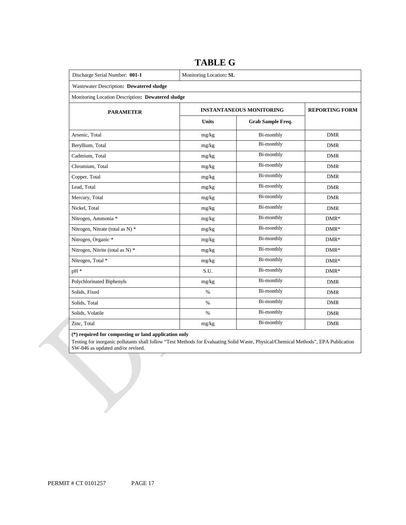| Discharge Serial Number: 001-1                    | Monitoring Location: SL |                                 |                       |  |  |  |  |
|---------------------------------------------------|-------------------------|---------------------------------|-----------------------|--|--|--|--|
| Wastewater Description: Dewatered sludge          |                         |                                 |                       |  |  |  |  |
| Monitoring Location Description: Dewatered sludge |                         |                                 |                       |  |  |  |  |
| <b>PARAMETER</b>                                  |                         | <b>INSTANTANEOUS MONITORING</b> | <b>REPORTING FORM</b> |  |  |  |  |
|                                                   | <b>Units</b>            | <b>Grab Sample Freq.</b>        |                       |  |  |  |  |
| Arsenic, Total                                    | mg/kg                   | Bi-monthly                      | <b>DMR</b>            |  |  |  |  |
| Beryllium, Total                                  | mg/kg                   | <b>Bi-monthly</b>               | <b>DMR</b>            |  |  |  |  |
| Cadmium, Total                                    | mg/kg                   | <b>Bi-monthly</b>               | <b>DMR</b>            |  |  |  |  |
| Chromium, Total                                   | mg/kg                   | <b>Bi-monthly</b>               | <b>DMR</b>            |  |  |  |  |
| Copper, Total                                     | mg/kg                   | <b>Bi-monthly</b>               | <b>DMR</b>            |  |  |  |  |
| Lead, Total                                       | mg/kg                   | <b>Bi-monthly</b>               | <b>DMR</b>            |  |  |  |  |
| Mercury, Total                                    | mg/kg                   | <b>Bi-monthly</b>               | <b>DMR</b>            |  |  |  |  |
| Nickel, Total                                     | mg/kg                   | <b>Bi-monthly</b>               | <b>DMR</b>            |  |  |  |  |
| Nitrogen, Ammonia *                               | mg/kg                   | <b>Bi-monthly</b>               | $DMR*$                |  |  |  |  |
| Nitrogen, Nitrate (total as N) *                  | mg/kg                   | <b>Bi-monthly</b>               | $DMR*$                |  |  |  |  |
| Nitrogen, Organic *                               | mg/kg                   | Bi-monthly                      | $DMR*$                |  |  |  |  |
| Nitrogen, Nitrite (total as N) *                  | mg/kg                   | <b>Bi-monthly</b>               | $DMR*$                |  |  |  |  |
| Nitrogen, Total *                                 | mg/kg                   | Bi-monthly                      | $DMR*$                |  |  |  |  |
| pH *                                              | S.U.                    | Bi-monthly                      | $DMR*$                |  |  |  |  |
| Polychlorinated Biphenyls                         | mg/kg                   | <b>Bi-monthly</b>               | <b>DMR</b>            |  |  |  |  |
| Solids, Fixed                                     | $\%$                    | <b>Bi-monthly</b>               | <b>DMR</b>            |  |  |  |  |
| Solids, Total                                     | $\%$                    | Bi-monthly                      | <b>DMR</b>            |  |  |  |  |
| Solids, Volatile                                  | $\%$                    | Bi-monthly                      | <b>DMR</b>            |  |  |  |  |
| Zinc, Total                                       | mg/kg                   | <b>Bi-monthly</b>               | <b>DMR</b>            |  |  |  |  |

### **TABLE G**

### **(\*) required for composting or land application only**

 Testing for inorganic pollutants shall follow "Test Methods for Evaluating Solid Waste, Physical/Chemical Methods", EPA Publication SW-846 as updated and/or revised.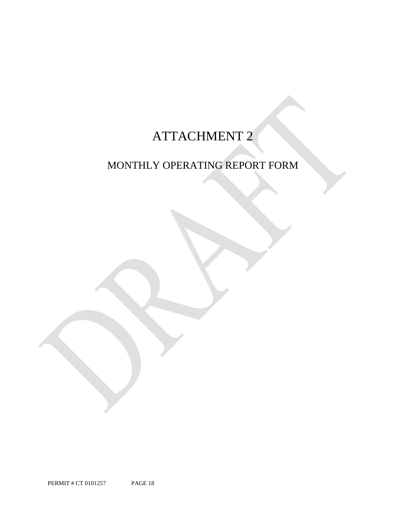## ATTACHMENT 2

## MONTHLY OPERATING REPORT FORM

PERMIT # CT 0101257 PAGE 18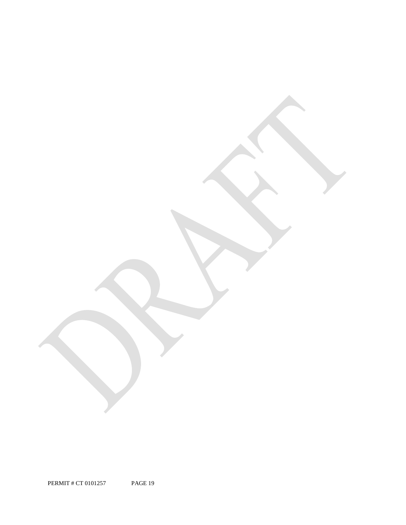PERMIT # CT 0101257 PAGE 19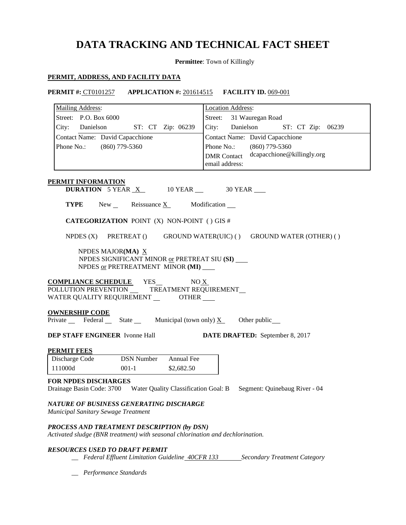### **DATA TRACKING AND TECHNICAL FACT SHEET**

**Permittee**: Town of Killingly

### **PERMIT, ADDRESS, AND FACILITY DATA**

**PERMIT #:** CT0101257 **APPLICATION #:** 201614515 **FACILITY ID.** 069-001

| Mailing Address:                                                                                                     | <b>Location Address:</b>                                           |
|----------------------------------------------------------------------------------------------------------------------|--------------------------------------------------------------------|
| Street: P.O. Box 6000                                                                                                | Street:<br>31 Wauregan Road                                        |
| City: Danielson<br>ST: CT Zip: 06239                                                                                 | City:<br>Danielson ST: CT Zip: 06239                               |
| Contact Name: David Capacchione                                                                                      | Contact Name: David Capacchione                                    |
| Phone No.:<br>$(860)$ 779-5360                                                                                       | $(860)$ 779-5360<br>Phone No.:                                     |
|                                                                                                                      | dcapacchione@killingly.org<br><b>DMR</b> Contact<br>email address: |
| PERMIT INFORMATION                                                                                                   |                                                                    |
| <b>DURATION</b> 5 YEAR $X$ 10 YEAR $\_\$ 30 YEAR                                                                     |                                                                    |
| <b>TYPE</b><br>New Reissuance $X$ Modification $\blacksquare$                                                        |                                                                    |
| <b>CATEGORIZATION POINT (X) NON-POINT () GIS #</b>                                                                   |                                                                    |
| NPDES $(X)$ PRETREAT $()$                                                                                            | GROUND WATER(UIC) () GROUND WATER (OTHER) ()                       |
| NPDES MAJOR(MA) $X$<br>NPDES SIGNIFICANT MINOR or PRETREAT SIU (SI)<br>NPDES or PRETREATMENT MINOR (MI)              |                                                                    |
| <b>COMPLIANCE SCHEDULE</b><br>YES<br>POLLUTION PREVENTION __<br>WATER QUALITY REQUIREMENT _________ OTHER ____       | NO X<br>TREATMENT REQUIREMENT                                      |
| <b>OWNERSHIP CODE</b><br>Private Federal State Municipal (town only) $X_$                                            | Other public_                                                      |
| <b>DEP STAFF ENGINEER</b> Ivonne Hall                                                                                | <b>DATE DRAFTED:</b> September 8, 2017                             |
| <b>PERMIT FEES</b>                                                                                                   |                                                                    |
| <b>DSN Number</b><br>Annual Fee<br>Discharge Code                                                                    |                                                                    |
| 111000d<br>$001-1$<br>\$2,682.50                                                                                     |                                                                    |
| FOR NPDES DISCHARGES<br>Drainage Basin Code: 3700 Water Quality Classification Goal: B Segment: Quinebaug River - 04 |                                                                    |
| NATURE OF BUSINESS GENERATING DISCHARGE<br>Municipal Sanitary Sewage Treatment                                       |                                                                    |
| PROCESS AND TREATMENT DESCRIPTION (by DSN)                                                                           |                                                                    |

*Activated sludge (BNR treatment) with seasonal chlorination and dechlorination.* 

### *RESOURCES USED TO DRAFT PERMIT*

- **\_\_ Federal Effluent Limitation Guideline 40CFR 133 Secondary Treatment Category**
- *\_\_ Performance Standards*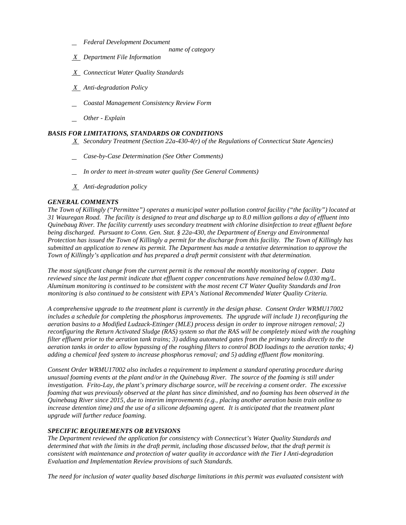- *Federal Development Document* 
	- *name of category*
- *X Department File Information*
- *X Connecticut Water Quality Standards*
- *X Anti-degradation Policy*
- *Coastal Management Consistency Review Form*
- *Other - Explain*

### *BASIS FOR LIMITATIONS, STANDARDS OR CONDITIONS*

- *X Secondary Treatment (Section 22a-430-4(r) of the Regulations of Connecticut State Agencies)*
- *Case-by-Case Determination (See Other Comments)*
- *In order to meet in-stream water quality (See General Comments)*
- *X Anti-degradation policy*

### *GENERAL COMMENTS*

 *Protection has issued the Town of Killingly a permit for the discharge from this facility. The Town of Killingly has*  Town of Killingly's application and has prepared a draft permit consistent with that determination. *The Town of Killingly ("Permittee") operates a municipal water pollution control facility ("the facility") located at 31 Wauregan Road. The facility is designed to treat and discharge up to 8.0 million gallons a day of effluent into Quinebaug River. The facility currently uses secondary treatment with chlorine disinfection to treat effluent before being discharged. Pursuant to Conn. Gen. Stat. § 22a-430, the Department of Energy and Environmental submitted an application to renew its permit. The Department has made a tentative determination to approve the* 

Town of Killingly's application and has prepared a draft permit consistent with that determination.<br>The most significant change from the current permit is the removal the monthly monitoring of copper. Data *reviewed since the last permit indicate that effluent copper concentrations have remained below 0.030 mg/L.* monitoring is also continued to be consistent with EPA's National Recommended Water Quality Criteria. *reviewed since the last permit indicate that effluent copper concentrations have remained below 0.030 mg/L. Aluminum monitoring is continued to be consistent with the most recent CT Water Quality Standards and Iron* 

monitoring is also continued to be consistent with EPA's National Recommended Water Quality Criteria.<br>A comprehensive upgrade to the treatment plant is currently in the design phase. Consent Order WRMU17002  *includes a schedule for completing the phosphorus improvements. The upgrade will include 1) reconfiguring the aeration basins to a Modified Ludzack-Ettinger (MLE) process design in order to improve nitrogen removal; 2) adding a chemical feed system to increase phosphorus removal; and 5) adding effluent flow monitoring. reconfiguring the Return Activated Sludge (RAS) system so that the RAS will be completely mixed with the roughing filter effluent prior to the aeration tank trains; 3) adding automated gates from the primary tanks directly to the aeration tanks in order to allow bypassing of the roughing filters to control BOD loadings to the aeration tanks; 4)* 

 *upgrade will further reduce foaming. Consent Order WRMU17002 also includes a requirement to implement a standard operating procedure during unusual foaming events at the plant and/or in the Quinebaug River. The source of the foaming is still under investigation. Frito-Lay, the plant's primary discharge source, will be receiving a consent order. The excessive*  foaming that was previously observed at the plant has since diminished, and no foaming has been observed in the *Quinebaug River since 2015, due to interim improvements (e.g., placing another aeration basin train online to increase detention time) and the use of a silicone defoaming agent. It is anticipated that the treatment plant* 

### *SPECIFIC REQUIREMENTS OR REVISIONS*

**Evaluation and Implementation Review provisions of such Standards.** *The Department reviewed the application for consistency with Connecticut's Water Quality Standards and determined that with the limits in the draft permit, including those discussed below, that the draft permit is consistent with maintenance and protection of water quality in accordance with the Tier I Anti-degradation* 

*The need for inclusion of water quality based discharge limitations in this permit was evaluated consistent with*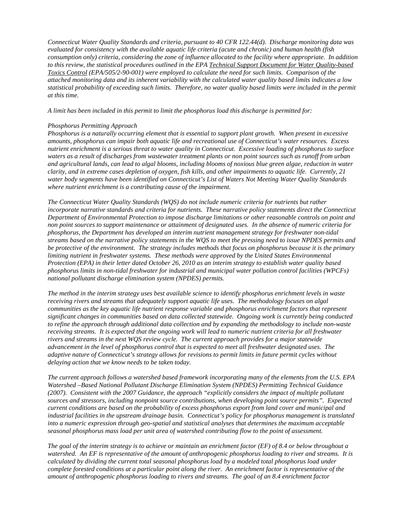*Connecticut Water Quality Standards and criteria, pursuant to 40 CFR 122.44(d). Discharge monitoring data was consumption only) criteria, considering the zone of influence allocated to the facility where appropriate. In addition to this review, the statistical procedures outlined in the EPA Technical Support Document for Water Quality-based evaluated for consistency with the available aquatic life criteria (acute and chronic) and human health (fish Toxics Control (EPA/505/2-90-001) were employed to calculate the need for such limits. Comparison of the attached monitoring data and its inherent variability with the calculated water quality based limits indicates a low statistical probability of exceeding such limits. Therefore, no water quality based limits were included in the permit at this time.* 

*A limit has been included in this permit to limit the phosphorus load this discharge is permitted for:* 

### *Phosphorus Permitting Approach*

 *water body segments have been identified on Connecticut's List of Waters Not Meeting Water Quality Standards Phosphorus is a naturally occurring element that is essential to support plant growth. When present in excessive amounts, phosphorus can impair both aquatic life and recreational use of Connecticut's water resources. Excess nutrient enrichment is a serious threat to water quality in Connecticut. Excessive loading of phosphorus to surface waters as a result of discharges from wastewater treatment plants or non point sources such as runoff from urban and agricultural lands, can lead to algal blooms, including blooms of noxious blue green algae, reduction in water clarity, and in extreme cases depletion of oxygen, fish kills, and other impairments to aquatic life. Currently, 21 where nutrient enrichment is a contributing cause of the impairment.* 

 *phosphorus limits in non-tidal freshwater for industrial and municipal water pollution control facilities (WPCFs) national pollutant discharge elimination system (NPDES) permits. The Connecticut Water Quality Standards (WQS) do not include numeric criteria for nutrients but rather incorporate narrative standards and criteria for nutrients. These narrative policy statements direct the Connecticut Department of Environmental Protection to impose discharge limitations or other reasonable controls on point and non point sources to support maintenance or attainment of designated uses. In the absence of numeric criteria for phosphorus, the Department has developed an interim nutrient management strategy for freshwater non-tidal streams based on the narrative policy statements in the WQS to meet the pressing need to issue NPDES permits and be protective of the environment. The strategy includes methods that focus on phosphorus because it is the primary limiting nutrient in freshwater systems. These methods were approved by the United States Environmental Protection (EPA) in their letter dated October 26, 2010 as an interim strategy to establish water quality based* 

*The method in the interim strategy uses best available science to identify phosphorus enrichment levels in waste receiving rivers and streams that adequately support aquatic life uses. The methodology focuses on algal communities as the key aquatic life nutrient response variable and phosphorus enrichment factors that represent significant changes in communities based on data collected statewide. Ongoing work is currently being conducted to refine the approach through additional data collection and by expanding the methodology to include non-waste receiving streams. It is expected that the ongoing work will lead to numeric nutrient criteria for all freshwater rivers and streams in the next WQS review cycle. The current approach provides for a major statewide advancement in the level of phosphorus control that is expected to meet all freshwater designated uses. The adaptive nature of Connecticut's strategy allows for revisions to permit limits in future permit cycles without delaying action that we know needs to be taken today.* 

 *seasonal phosphorus mass load per unit area of watershed contributing flow to the point of assessment. The current approach follows a watershed based framework incorporating many of the elements from the U.S. EPA Watershed –Based National Pollutant Discharge Elimination System (NPDES) Permitting Technical Guidance (2007). Consistent with the 2007 Guidance, the approach "explicitly considers the impact of multiple pollutant sources and stressors, including nonpoint source contributions, when developing point source permits". Expected current conditions are based on the probability of excess phosphorus export from land cover and municipal and industrial facilities in the upstream drainage basin. Connecticut's policy for phosphorus management is translated into a numeric expression through geo-spatial and statistical analyses that determines the maximum acceptable* 

*The goal of the interim strategy is to achieve or maintain an enrichment factor (EF) of 8.4 or below throughout a watershed. An EF is representative of the amount of anthropogenic phosphorus loading to river and streams. It is calculated by dividing the current total seasonal phosphorus load by a modeled total phosphorus load under complete forested conditions at a particular point along the river. An enrichment factor is representative of the amount of anthropogenic phosphorus loading to rivers and streams. The goal of an 8.4 enrichment factor*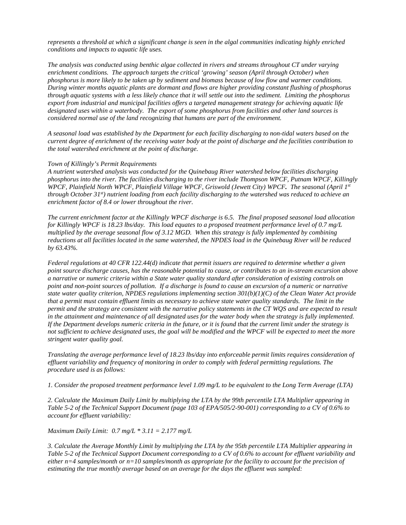*conditions and impacts to aquatic life uses. represents a threshold at which a significant change is seen in the algal communities indicating highly enriched* 

 *phosphorus is more likely to be taken up by sediment and biomass because of low flow and warmer conditions. considered normal use of the land recognizing that humans are part of the environment. conditions and impacts to aquatic life uses. The analysis was conducted using benthic algae collected in rivers and streams throughout CT under varying enrichment conditions. The approach targets the critical 'growing' season (April through October) when During winter months aquatic plants are dormant and flows are higher providing constant flushing of phosphorus through aquatic systems with a less likely chance that it will settle out into the sediment. Limiting the phosphorus export from industrial and municipal facilities offers a targeted management strategy for achieving aquatic life designated uses within a waterbody. The export of some phosphorus from facilities and other land sources is* 

 *current degree of enrichment of the receiving water body at the point of discharge and the facilities contribution to the total watershed enrichment at the point of discharge. Town of Killingly's Permit Requirements A seasonal load was established by the Department for each facility discharging to non-tidal waters based on the* 

 *WPCF, Plainfield North WPCF, Plainfield Village WPCF, Griswold (Jewett City) WPCF. The seasonal (April 1st*  enrichment factor of 8.4 or lower throughout the river. *A nutrient watershed analysis was conducted for the Quinebaug River watershed below facilities discharging phosphorus into the river. The facilities discharging to the river include Thompson WPCF, Putnam WPCF, Killingly through October 31st) nutrient loading from each facility discharging to the watershed was reduced to achieve an* 

 *for Killingly WPCF is 18.23 lbs/day. This load equates to a proposed treatment performance level of 0.7 mg/L multiplied by the average seasonal flow of 3.12 MGD. When this strategy is fully implemented by combining enrichment factor of 8.4 or lower throughout the river. The current enrichment factor at the Killingly WPCF discharge is 6.5. The final proposed seasonal load allocation reductions at all facilities located in the same watershed, the NPDES load in the Quinebaug River will be reduced by 63.43%.* 

in the attainment and maintenance of all designated uses for the water body when the strategy is fully implemented. *stringent water quality goal. Federal regulations at 40 CFR 122.44(d) indicate that permit issuers are required to determine whether a given point source discharge causes, has the reasonable potential to cause, or contributes to an in-stream excursion above a narrative or numeric criteria within a State water quality standard after consideration of existing controls on point and non-point sources of pollution. If a discharge is found to cause an excursion of a numeric or narrative state water quality criterion, NPDES regulations implementing section 301(b)(1)(C) of the Clean Water Act provide that a permit must contain effluent limits as necessary to achieve state water quality standards. The limit in the permit and the strategy are consistent with the narrative policy statements in the CT WQS and are expected to result* If the Department develops numeric criteria in the future, or it is found that the current limit under the strategy is not sufficient to achieve designated uses, the goal will be modified and the WPCF will be expected to meet the more

*Translating the average performance level of 18.23 lbs/day into enforceable permit limits requires consideration of effluent variability and frequency of monitoring in order to comply with federal permitting regulations. The procedure used is as follows:* 

*1. Consider the proposed treatment performance level 1.09 mg/L to be equivalent to the Long Term Average (LTA)*

*2. Calculate the Maximum Daily Limit by multiplying the LTA by the 99th percentile LTA Multiplier appearing in Table 5-2 of the Technical Support Document (page 103 of EPA/505/2-90-001) corresponding to a CV of 0.6% to account for effluent variability:*

 *Maximum Daily Limit: 0.7 mg/L \* 3.11 = 2.177 mg/L* 

*3. Calculate the Average Monthly Limit by multiplying the LTA by the 95th percentile LTA Multiplier appearing in Table 5-2 of the Technical Support Document corresponding to a CV of 0.6% to account for effluent variability and either n=4 samples/month or n=10 samples/month as appropriate for the facility to account for the precision of estimating the true monthly average based on an average for the days the effluent was sampled:*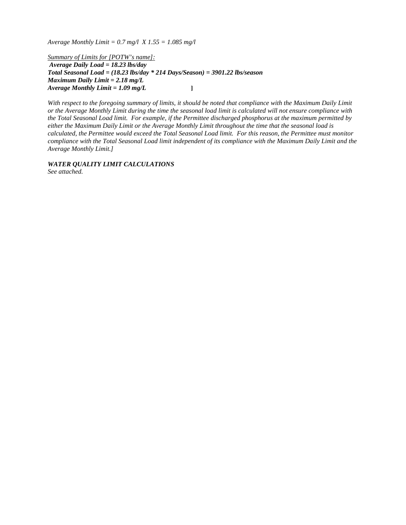*Average Monthly Limit = 0.7 mg/l X 1.55 = 1.085 mg/l* 

**Average Daily Load = 18.23 lbs/day**  *Average Daily Load = 18.23 lbs/day Total Seasonal Load = (18.23 lbs/day \* 214 Days/Season) = 3901.22 lbs/season Maximum Daily Limit = 2.18 mg/L Average Monthly Limit = 1.09 mg/L* **]**  *Summary of Limits for [POTW's name]:* 

With respect to the foregoing summary of limits, it should be noted that compliance with the Maximum Daily Limit *or the Average Monthly Limit during the time the seasonal load limit is calculated will not ensure compliance with the Total Seasonal Load limit. For example, if the Permittee discharged phosphorus at the maximum permitted by either the Maximum Daily Limit or the Average Monthly Limit throughout the time that the seasonal load is calculated, the Permittee would exceed the Total Seasonal Load limit. For this reason, the Permittee must monitor compliance with the Total Seasonal Load limit independent of its compliance with the Maximum Daily Limit and the Average Monthly Limit.]* 

*WATER QUALITY LIMIT CALCULATIONS See attached.*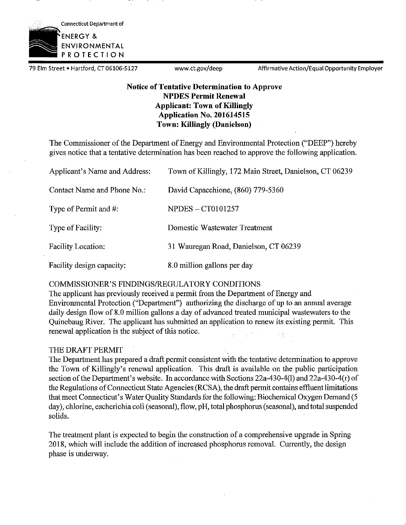

79 Elm Street • Hartford, CT 06106-5127 www.ct.gov/deep Affirmative Action/Equal Opportunity Employer

### **Notice of Tentative Determination to Approve NPDES Permit Renewal Applicant: Town of Killingly Application No. 201614515 Town: Killingly (Danielson)**

The Commissioner of the Department of Energy and Environmental Protection ("DEEP") hereby gives notice that a tentative determination has been reached to approve the following application.

| Applicant's Name and Address: | Town of Killingly, 172 Main Street, Danielson, CT 06239 |
|-------------------------------|---------------------------------------------------------|
| Contact Name and Phone No.:   | David Capacchione, (860) 779-5360                       |
| Type of Permit and #:         | <b>NPDES - CT0101257</b>                                |
| Type of Facility:             | Domestic Wastewater Treatment                           |
| Facility Location:            | 31 Wauregan Road, Danielson, CT 06239                   |
| Facility design capacity:     | 8.0 million gallons per day                             |

### COMMISSIONER'S FINDINGS/REGULATORY CONDITIONS

The applicant has previously received a permit from the Department of Energy and Environmental Protection ("Department") authorizing the discharge of up to an annual average daily design flow of 8.0 million gallons a day of advanced treated municipal wastewaters to the Quinebaug River. The applicant has submitted an application to renew its existing permit. This renewal application is the subject of this notice. 羽

### THE DRAFT PERMIT

The Department has prepared a draft permit consistent with the tentative determination to approve the Town of Killingly's renewal application. This draft is available on the public participation section of the Department's website. In accordance with Sections 22a-430-4(1) and 22a-430-4(r) of the Regulations of Connecticut State Agencies (RCSA), the draft permit contains effluent limitations that meet Connecticut's Water Quality Standards for the following: Biochemical Oxygen Demand (5 day), chlorine, escherichia coli (seasonal), flow, pH, total phosphorus (seasonal), and total suspended solids.

The treatment plant is expected to begin the construction of a comprehensive upgrade in Spring 2018, which will include the addition of increased phosphorus removal. Currently, the design phase is underway.